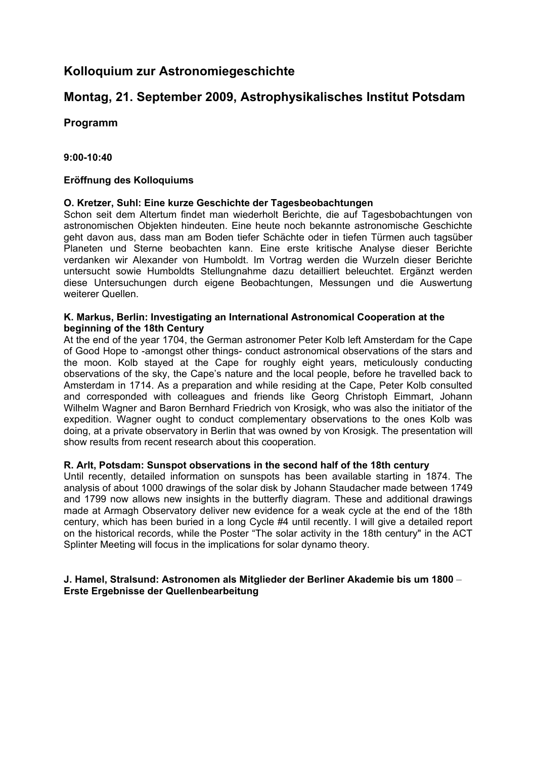# **Kolloquium zur Astronomiegeschichte**

# **Montag, 21. September 2009, Astrophysikalisches Institut Potsdam**

## **Programm**

## **9:00-10:40**

## **Eröffnung des Kolloquiums**

### **O. Kretzer, Suhl: Eine kurze Geschichte der Tagesbeobachtungen**

Schon seit dem Altertum findet man wiederholt Berichte, die auf Tagesbobachtungen von astronomischen Objekten hindeuten. Eine heute noch bekannte astronomische Geschichte geht davon aus, dass man am Boden tiefer Schächte oder in tiefen Türmen auch tagsüber Planeten und Sterne beobachten kann. Eine erste kritische Analyse dieser Berichte verdanken wir Alexander von Humboldt. Im Vortrag werden die Wurzeln dieser Berichte untersucht sowie Humboldts Stellungnahme dazu detailliert beleuchtet. Ergänzt werden diese Untersuchungen durch eigene Beobachtungen, Messungen und die Auswertung weiterer Quellen.

#### **K. Markus, Berlin: Investigating an International Astronomical Cooperation at the beginning of the 18th Century**

At the end of the year 1704, the German astronomer Peter Kolb left Amsterdam for the Cape of Good Hope to -amongst other things- conduct astronomical observations of the stars and the moon. Kolb stayed at the Cape for roughly eight years, meticulously conducting observations of the sky, the Cape's nature and the local people, before he travelled back to Amsterdam in 1714. As a preparation and while residing at the Cape, Peter Kolb consulted and corresponded with colleagues and friends like Georg Christoph Eimmart, Johann Wilhelm Wagner and Baron Bernhard Friedrich von Krosigk, who was also the initiator of the expedition. Wagner ought to conduct complementary observations to the ones Kolb was doing, at a private observatory in Berlin that was owned by von Krosigk. The presentation will show results from recent research about this cooperation.

### **R. Arlt, Potsdam: Sunspot observations in the second half of the 18th century**

Until recently, detailed information on sunspots has been available starting in 1874. The analysis of about 1000 drawings of the solar disk by Johann Staudacher made between 1749 and 1799 now allows new insights in the butterfly diagram. These and additional drawings made at Armagh Observatory deliver new evidence for a weak cycle at the end of the 18th century, which has been buried in a long Cycle #4 until recently. I will give a detailed report on the historical records, while the Poster "The solar activity in the 18th century" in the ACT Splinter Meeting will focus in the implications for solar dynamo theory.

### **J. Hamel, Stralsund: Astronomen als Mitglieder der Berliner Akademie bis um 1800** – **Erste Ergebnisse der Quellenbearbeitung**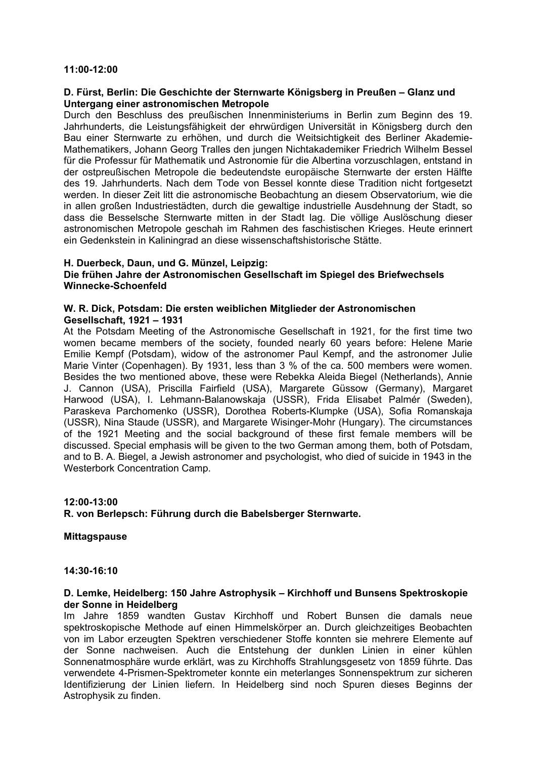#### **11:00-12:00**

#### **D. Fürst, Berlin: Die Geschichte der Sternwarte Königsberg in Preußen – Glanz und Untergang einer astronomischen Metropole**

Durch den Beschluss des preußischen Innenministeriums in Berlin zum Beginn des 19. Jahrhunderts, die Leistungsfähigkeit der ehrwürdigen Universität in Königsberg durch den Bau einer Sternwarte zu erhöhen, und durch die Weitsichtigkeit des Berliner Akademie-Mathematikers, Johann Georg Tralles den jungen Nichtakademiker Friedrich Wilhelm Bessel für die Professur für Mathematik und Astronomie für die Albertina vorzuschlagen, entstand in der ostpreußischen Metropole die bedeutendste europäische Sternwarte der ersten Hälfte des 19. Jahrhunderts. Nach dem Tode von Bessel konnte diese Tradition nicht fortgesetzt werden. In dieser Zeit litt die astronomische Beobachtung an diesem Observatorium, wie die in allen großen Industriestädten, durch die gewaltige industrielle Ausdehnung der Stadt, so dass die Besselsche Sternwarte mitten in der Stadt lag. Die völlige Auslöschung dieser astronomischen Metropole geschah im Rahmen des faschistischen Krieges. Heute erinnert ein Gedenkstein in Kaliningrad an diese wissenschaftshistorische Stätte.

#### **H. Duerbeck, Daun, und G. Münzel, Leipzig:**

#### **Die frühen Jahre der Astronomischen Gesellschaft im Spiegel des Briefwechsels Winnecke-Schoenfeld**

#### **W. R. Dick, Potsdam: Die ersten weiblichen Mitglieder der Astronomischen Gesellschaft, 1921 – 1931**

At the Potsdam Meeting of the Astronomische Gesellschaft in 1921, for the first time two women became members of the society, founded nearly 60 years before: Helene Marie Emilie Kempf (Potsdam), widow of the astronomer Paul Kempf, and the astronomer Julie Marie Vinter (Copenhagen). By 1931, less than 3 % of the ca. 500 members were women. Besides the two mentioned above, these were Rebekka Aleida Biegel (Netherlands), Annie J. Cannon (USA), Priscilla Fairfield (USA), Margarete Güssow (Germany), Margaret Harwood (USA), I. Lehmann-Balanowskaja (USSR), Frida Elisabet Palmér (Sweden), Paraskeva Parchomenko (USSR), Dorothea Roberts-Klumpke (USA), Sofia Romanskaja (USSR), Nina Staude (USSR), and Margarete Wisinger-Mohr (Hungary). The circumstances of the 1921 Meeting and the social background of these first female members will be discussed. Special emphasis will be given to the two German among them, both of Potsdam, and to B. A. Biegel, a Jewish astronomer and psychologist, who died of suicide in 1943 in the Westerbork Concentration Camp.

## **12:00-13:00 R. von Berlepsch: Führung durch die Babelsberger Sternwarte.**

#### **Mittagspause**

### **14:30-16:10**

#### **D. Lemke, Heidelberg: 150 Jahre Astrophysik – Kirchhoff und Bunsens Spektroskopie der Sonne in Heidelberg**

Im Jahre 1859 wandten Gustav Kirchhoff und Robert Bunsen die damals neue spektroskopische Methode auf einen Himmelskörper an. Durch gleichzeitiges Beobachten von im Labor erzeugten Spektren verschiedener Stoffe konnten sie mehrere Elemente auf der Sonne nachweisen. Auch die Entstehung der dunklen Linien in einer kühlen Sonnenatmosphäre wurde erklärt, was zu Kirchhoffs Strahlungsgesetz von 1859 führte. Das verwendete 4-Prismen-Spektrometer konnte ein meterlanges Sonnenspektrum zur sicheren Identifizierung der Linien liefern. In Heidelberg sind noch Spuren dieses Beginns der Astrophysik zu finden.